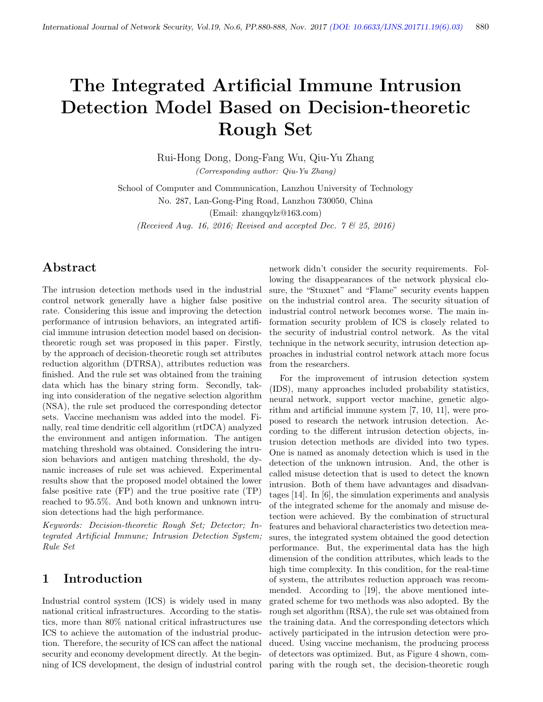# The Integrated Artificial Immune Intrusion Detection Model Based on Decision-theoretic Rough Set

Rui-Hong Dong, Dong-Fang Wu, Qiu-Yu Zhang (Corresponding author: Qiu-Yu Zhang)

School of Computer and Communication, Lanzhou University of Technology No. 287, Lan-Gong-Ping Road, Lanzhou 730050, China

(Email: zhangqylz@163.com)

(Received Aug. 16, 2016; Revised and accepted Dec.  $7 \& 25$ , 2016)

## Abstract

The intrusion detection methods used in the industrial control network generally have a higher false positive rate. Considering this issue and improving the detection performance of intrusion behaviors, an integrated artificial immune intrusion detection model based on decisiontheoretic rough set was proposed in this paper. Firstly, by the approach of decision-theoretic rough set attributes reduction algorithm (DTRSA), attributes reduction was finished. And the rule set was obtained from the training data which has the binary string form. Secondly, taking into consideration of the negative selection algorithm (NSA), the rule set produced the corresponding detector sets. Vaccine mechanism was added into the model. Finally, real time dendritic cell algorithm (rtDCA) analyzed the environment and antigen information. The antigen matching threshold was obtained. Considering the intrusion behaviors and antigen matching threshold, the dynamic increases of rule set was achieved. Experimental results show that the proposed model obtained the lower false positive rate (FP) and the true positive rate (TP) reached to 95.5%. And both known and unknown intrusion detections had the high performance.

Keywords: Decision-theoretic Rough Set; Detector; Integrated Artificial Immune; Intrusion Detection System; Rule Set

## 1 Introduction

Industrial control system (ICS) is widely used in many national critical infrastructures. According to the statistics, more than 80% national critical infrastructures use ICS to achieve the automation of the industrial production. Therefore, the security of ICS can affect the national security and economy development directly. At the beginning of ICS development, the design of industrial control

network didn't consider the security requirements. Following the disappearances of the network physical closure, the "Stuxnet" and "Flame" security events happen on the industrial control area. The security situation of industrial control network becomes worse. The main information security problem of ICS is closely related to the security of industrial control network. As the vital technique in the network security, intrusion detection approaches in industrial control network attach more focus from the researchers.

For the improvement of intrusion detection system (IDS), many approaches included probability statistics, neural network, support vector machine, genetic algorithm and artificial immune system [7, 10, 11], were proposed to research the network intrusion detection. According to the different intrusion detection objects, intrusion detection methods are divided into two types. One is named as anomaly detection which is used in the detection of the unknown intrusion. And, the other is called misuse detection that is used to detect the known intrusion. Both of them have advantages and disadvantages [14]. In [6], the simulation experiments and analysis of the integrated scheme for the anomaly and misuse detection were achieved. By the combination of structural features and behavioral characteristics two detection measures, the integrated system obtained the good detection performance. But, the experimental data has the high dimension of the condition attributes, which leads to the high time complexity. In this condition, for the real-time of system, the attributes reduction approach was recommended. According to [19], the above mentioned integrated scheme for two methods was also adopted. By the rough set algorithm (RSA), the rule set was obtained from the training data. And the corresponding detectors which actively participated in the intrusion detection were produced. Using vaccine mechanism, the producing process of detectors was optimized. But, as Figure 4 shown, comparing with the rough set, the decision-theoretic rough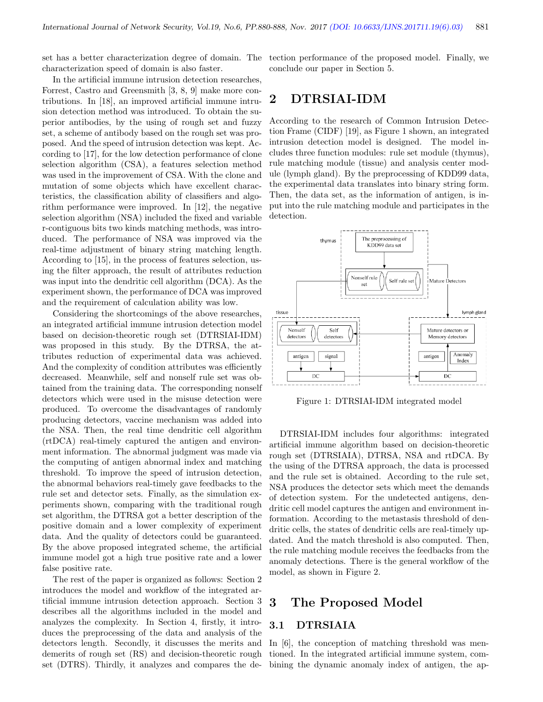set has a better characterization degree of domain. The characterization speed of domain is also faster.

In the artificial immune intrusion detection researches, Forrest, Castro and Greensmith [3, 8, 9] make more contributions. In [18], an improved artificial immune intrusion detection method was introduced. To obtain the superior antibodies, by the using of rough set and fuzzy set, a scheme of antibody based on the rough set was proposed. And the speed of intrusion detection was kept. According to [17], for the low detection performance of clone selection algorithm (CSA), a features selection method was used in the improvement of CSA. With the clone and mutation of some objects which have excellent characteristics, the classification ability of classifiers and algorithm performance were improved. In [12], the negative selection algorithm (NSA) included the fixed and variable r-contiguous bits two kinds matching methods, was introduced. The performance of NSA was improved via the real-time adjustment of binary string matching length. According to [15], in the process of features selection, using the filter approach, the result of attributes reduction was input into the dendritic cell algorithm (DCA). As the experiment shown, the performance of DCA was improved and the requirement of calculation ability was low.

Considering the shortcomings of the above researches, an integrated artificial immune intrusion detection model based on decision-theoretic rough set (DTRSIAI-IDM) was proposed in this study. By the DTRSA, the attributes reduction of experimental data was achieved. And the complexity of condition attributes was efficiently decreased. Meanwhile, self and nonself rule set was obtained from the training data. The corresponding nonself detectors which were used in the misuse detection were produced. To overcome the disadvantages of randomly producing detectors, vaccine mechanism was added into the NSA. Then, the real time dendritic cell algorithm (rtDCA) real-timely captured the antigen and environment information. The abnormal judgment was made via the computing of antigen abnormal index and matching threshold. To improve the speed of intrusion detection, the abnormal behaviors real-timely gave feedbacks to the rule set and detector sets. Finally, as the simulation experiments shown, comparing with the traditional rough set algorithm, the DTRSA got a better description of the positive domain and a lower complexity of experiment data. And the quality of detectors could be guaranteed. By the above proposed integrated scheme, the artificial immune model got a high true positive rate and a lower false positive rate.

The rest of the paper is organized as follows: Section 2 introduces the model and workflow of the integrated artificial immune intrusion detection approach. Section 3 describes all the algorithms included in the model and analyzes the complexity. In Section 4, firstly, it introduces the preprocessing of the data and analysis of the detectors length. Secondly, it discusses the merits and demerits of rough set (RS) and decision-theoretic rough set (DTRS). Thirdly, it analyzes and compares the de-

tection performance of the proposed model. Finally, we conclude our paper in Section 5.

## 2 DTRSIAI-IDM

According to the research of Common Intrusion Detection Frame (CIDF) [19], as Figure 1 shown, an integrated intrusion detection model is designed. The model includes three function modules: rule set module (thymus), rule matching module (tissue) and analysis center module (lymph gland). By the preprocessing of KDD99 data, the experimental data translates into binary string form. Then, the data set, as the information of antigen, is input into the rule matching module and participates in the detection.



Figure 1: DTRSIAI-IDM integrated model

DTRSIAI-IDM includes four algorithms: integrated artificial immune algorithm based on decision-theoretic rough set (DTRSIAIA), DTRSA, NSA and rtDCA. By the using of the DTRSA approach, the data is processed and the rule set is obtained. According to the rule set, NSA produces the detector sets which meet the demands of detection system. For the undetected antigens, dendritic cell model captures the antigen and environment information. According to the metastasis threshold of dendritic cells, the states of dendritic cells are real-timely updated. And the match threshold is also computed. Then, the rule matching module receives the feedbacks from the anomaly detections. There is the general workflow of the model, as shown in Figure 2.

### 3 The Proposed Model

#### 3.1 DTRSIAIA

In [6], the conception of matching threshold was mentioned. In the integrated artificial immune system, combining the dynamic anomaly index of antigen, the ap-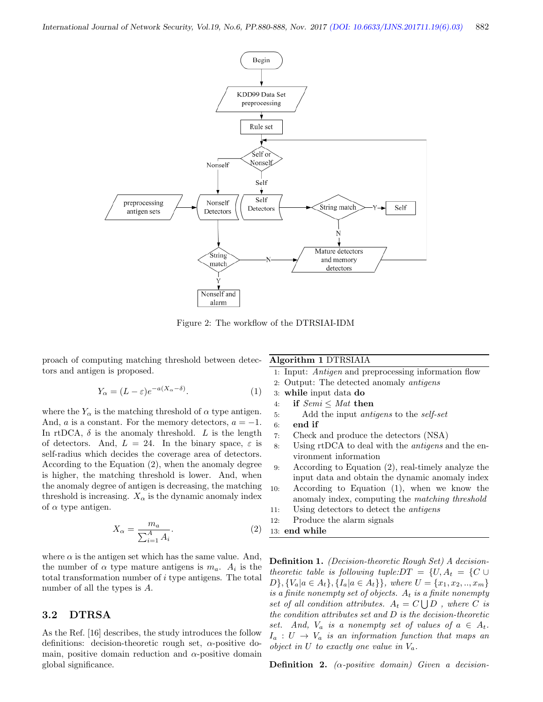

Figure 2: The workflow of the DTRSIAI-IDM

proach of computing matching threshold between detectors and antigen is proposed.

$$
Y_{\alpha} = (L - \varepsilon)e^{-a(X_{\alpha} - \delta)}.
$$
 (1)

where the  $Y_{\alpha}$  is the matching threshold of  $\alpha$  type antigen. And, a is a constant. For the memory detectors,  $a = -1$ . In rtDCA,  $\delta$  is the anomaly threshold. L is the length of detectors. And,  $L = 24$ . In the binary space,  $\varepsilon$  is self-radius which decides the coverage area of detectors. According to the Equation (2), when the anomaly degree is higher, the matching threshold is lower. And, when the anomaly degree of antigen is decreasing, the matching threshold is increasing.  $X_{\alpha}$  is the dynamic anomaly index of  $\alpha$  type antigen.

$$
X_{\alpha} = \frac{m_a}{\sum_{i=1}^A A_i}.\tag{2}
$$

where  $\alpha$  is the antigen set which has the same value. And, the number of  $\alpha$  type mature antigens is  $m_a$ .  $A_i$  is the total transformation number of i type antigens. The total number of all the types is A.

#### 3.2 DTRSA

As the Ref. [16] describes, the study introduces the follow definitions: decision-theoretic rough set,  $\alpha$ -positive domain, positive domain reduction and  $\alpha$ -positive domain global significance.

Algorithm 1 DTRSIAIA

- 1: Input: Antigen and preprocessing information flow
- 2: Output: The detected anomaly antigens
- 3: while input data do
- 4: if  $Semi \leq Mat$  then
- 5: Add the input antigens to the self-set
- 6: end if
- 7: Check and produce the detectors (NSA)
- 8: Using rtDCA to deal with the antigens and the environment information
- 9: According to Equation (2), real-timely analyze the input data and obtain the dynamic anomaly index
- 10: According to Equation (1), when we know the anomaly index, computing the matching threshold
- 11: Using detectors to detect the antigens
- 12: Produce the alarm signals
- 13: end while

Definition 1. (Decision-theoretic Rough Set) A decisiontheoretic table is following tuple: $DT = \{U, A_t = \{C \cup$  $D\}, \{V_a|a \in A_t\}, \{I_a|a \in A_t\}\},$  where  $U = \{x_1, x_2, ..., x_m\}$ is a finite nonempty set of objects.  $A_t$  is a finite nonempty set of all condition attributes.  $A_t = C \bigcup D$ , where C is the condition attributes set and D is the decision-theoretic set. And,  $V_a$  is a nonempty set of values of  $a \in A_t$ .  $I_a: U \to V_a$  is an information function that maps an object in U to exactly one value in  $V_a$ .

**Definition 2.** ( $\alpha$ -positive domain) Given a decision-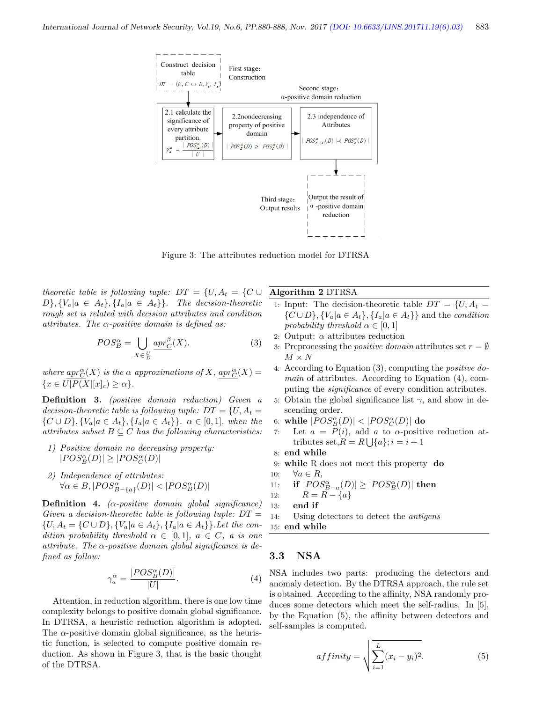

Figure 3: The attributes reduction model for DTRSA

theoretic table is following tuple:  $DT = \{U, A_t = \{C \cup$  $D\}, \{V_a | a \in A_t\}, \{I_a | a \in A_t\}\}.$  The decision-theoretic rough set is related with decision attributes and condition attributes. The  $\alpha$ -positive domain is defined as:

$$
POS_{B}^{\alpha} = \bigcup_{X \in \frac{U}{D}} \underline{apr}_{C}^{\beta}(X). \tag{3}
$$

where  $apr_C^{\alpha}(X)$  is the  $\alpha$  approximations of X,  $apr_C^{\alpha}(X) =$  $\{x \in \overline{U|P(X|[x]_{c})} \geq \alpha\}.$ 

Definition 3. (positive domain reduction) Given a decision-theoretic table is following tuple:  $DT = \{U, A_t =$  $\{C \cup D\}, \{V_a | a \in A_t\}, \{I_a | a \in A_t\}\}\$ .  $\alpha \in [0,1]$ , when the attributes subset  $B \subseteq C$  has the following characteristics:

- 1) Positive domain no decreasing property:  $|POS_{B}^{\alpha}(D)|\geq |POS_{C}^{\alpha}(D)|$
- 2) Independence of attributes:  $\forall \alpha \in B, |POS_{B-\{a\}}^{\alpha}(D)| < |POS_{B}^{\alpha}(D)|$

**Definition 4.** ( $\alpha$ -positive domain global significance) Given a decision-theoretic table is following tuple:  $DT =$  $\{U, A_t = \{C \cup D\}, \{V_a | a \in A_t\}, \{I_a | a \in A_t\}\}\.$  Let the condition probability threshold  $\alpha \in [0,1]$ ,  $a \in C$ , a is one attribute. The  $\alpha$ -positive domain global significance is defined as follow:

$$
\gamma_a^{\alpha} = \frac{|POS_B^{\alpha}(D)|}{|U|}.
$$
\n(4)

Attention, in reduction algorithm, there is one low time complexity belongs to positive domain global significance. In DTRSA, a heuristic reduction algorithm is adopted. The  $\alpha$ -positive domain global significance, as the heuristic function, is selected to compute positive domain reduction. As shown in Figure 3, that is the basic thought of the DTRSA.

Algorithm 2 DTRSA

- 1: Input: The decision-theoretic table  $DT = \{U, A_t =$  $\{C \cup D\}, \{V_a | a \in A_t\}, \{I_a | a \in A_t\}\}\$ and the *condition* probability threshold  $\alpha \in [0,1]$
- 2: Output:  $\alpha$  attributes reduction
- 3: Preprocessing the *positive domain* attributes set  $r = \emptyset$  $M \times N$
- 4: According to Equation (3), computing the positive domain of attributes. According to Equation (4), computing the significance of every condition attributes.
- 5: Obtain the global significance list  $\gamma$ , and show in descending order.
- 6: while  $|POS_{B}^{\alpha}(D)|<|POS_{C}^{\alpha}(D)|$  do
- 7: Let  $a = P(i)$ , add a to  $\alpha$ -positive reduction attributes set, $R = R \bigcup \{a\}; i = i + 1$
- 8: end while
- 9: while R does not meet this property do
- 10:  $\forall a \in R$ ,

11: if 
$$
|POS_{B-a}^{\alpha}(D)| \geq |POS_{B}^{\alpha}(D)|
$$
 then

- 12:  $R = R \{a\}$
- 13: end if

15: end while

#### 3.3 NSA

NSA includes two parts: producing the detectors and anomaly detection. By the DTRSA approach, the rule set is obtained. According to the affinity, NSA randomly produces some detectors which meet the self-radius. In [5], by the Equation (5), the affinity between detectors and self-samples is computed.

$$
affinity = \sqrt{\sum_{i=1}^{L} (x_i - y_i)^2}.
$$
 (5)

<sup>14:</sup> Using detectors to detect the antigens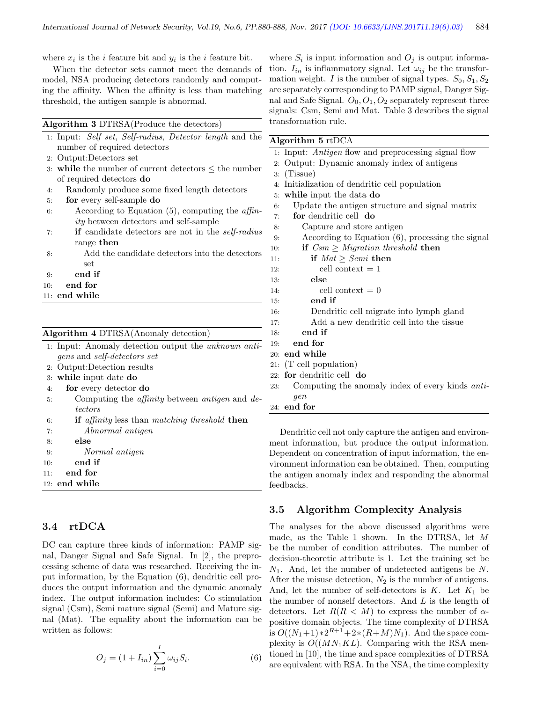where  $x_i$  is the *i* feature bit and  $y_i$  is the *i* feature bit.

When the detector sets cannot meet the demands of model, NSA producing detectors randomly and computing the affinity. When the affinity is less than matching threshold, the antigen sample is abnormal.

| Algorithm 3 DTRSA(Produce the detectors) |  |  |  |  |  |  |
|------------------------------------------|--|--|--|--|--|--|
|------------------------------------------|--|--|--|--|--|--|

|    | $\overline{a}$<br>1. Input: Self set, Self-radius, Detector length and the |
|----|----------------------------------------------------------------------------|
|    | number of required detectors                                               |
|    | 2: Output:Detectors set                                                    |
|    | 3: while the number of current detectors $\leq$ the number                 |
|    | of required detectors <b>do</b>                                            |
| 4: | Randomly produce some fixed length detectors                               |
| 5: | for every self-sample do                                                   |
| 6: | According to Equation $(5)$ , computing the <i>affin</i> -                 |
|    | <i>ity</i> between detectors and self-sample                               |
| 7: | <b>if</b> candidate detectors are not in the <i>self-radius</i>            |
|    | range then                                                                 |
| 8: | Add the candidate detectors into the detectors                             |
|    | set                                                                        |
| Ω. | $\alpha$ nd if                                                             |

- 9: end if
- 10: end for
- 11: end while

#### Algorithm 4 DTRSA(Anomaly detection)

|    | 1. Input: Anomaly detection output the <i>unknown</i> anti-          |
|----|----------------------------------------------------------------------|
|    | <i>gens</i> and <i>self-detectors set</i>                            |
|    | 2: Output:Detection results                                          |
|    | 3. while input date do                                               |
| 4: | for every detector do                                                |
| 5: | Computing the <i>affinity</i> between <i>antigen</i> and <i>de</i> - |
|    | tectors                                                              |
| 6: | <b>if</b> affinity less than matching threshold <b>then</b>          |

- 7: Abnormal antigen
- 8: else
- 9: Normal antigen
- 10: end if
- 11: end for
- 12: end while

#### 3.4 rtDCA

DC can capture three kinds of information: PAMP signal, Danger Signal and Safe Signal. In [2], the preprocessing scheme of data was researched. Receiving the input information, by the Equation (6), dendritic cell produces the output information and the dynamic anomaly index. The output information includes: Co stimulation signal (Csm), Semi mature signal (Semi) and Mature signal (Mat). The equality about the information can be written as follows:

$$
O_j = (1 + I_{in}) \sum_{i=0}^{I} \omega_{ij} S_i.
$$
 (6)

where  $S_i$  is input information and  $O_j$  is output information.  $I_{in}$  is inflammatory signal. Let  $\omega_{ij}$  be the transformation weight. I is the number of signal types.  $S_0, S_1, S_2$ are separately corresponding to PAMP signal, Danger Signal and Safe Signal.  $O_0$ ,  $O_1$ ,  $O_2$  separately represent three signals: Csm, Semi and Mat. Table 3 describes the signal transformation rule.

#### Algorithm 5 rtDCA

|  |  | 1: Input: <i>Antigen</i> flow and preprocessing signal flow |  |  |
|--|--|-------------------------------------------------------------|--|--|
|  |  |                                                             |  |  |

- 2: Output: Dynamic anomaly index of antigens
- 3: (Tissue)
- 4: Initialization of dendritic cell population
- 5: while input the data do
- 6: Update the antigen structure and signal matrix
- 7: for dendritic cell do
- 8: Capture and store antigen
- 9: According to Equation (6), processing the signal
- 10: **if**  $Csm > Migration threshold$  then
- 11: if  $Mat \geq Semi$  then 12: cell context  $= 1$ 13: else 14: cell context  $= 0$
- 15: end if
- 16: Dendritic cell migrate into lymph gland
- 17: Add a new dendritic cell into the tissue
- 18: end if
- 19: end for
- 20: end while
- 21: (T cell population)
- 22: for dendritic cell do
- 23: Computing the anomaly index of every kinds antigen
- 24: end for

Dendritic cell not only capture the antigen and environment information, but produce the output information. Dependent on concentration of input information, the environment information can be obtained. Then, computing the antigen anomaly index and responding the abnormal feedbacks.

#### 3.5 Algorithm Complexity Analysis

The analyses for the above discussed algorithms were made, as the Table 1 shown. In the DTRSA, let M be the number of condition attributes. The number of decision-theoretic attribute is 1. Let the training set be  $N_1$ . And, let the number of undetected antigens be  $N$ . After the misuse detection,  $N_2$  is the number of antigens. And, let the number of self-detectors is  $K$ . Let  $K_1$  be the number of nonself detectors. And L is the length of detectors. Let  $R(R < M)$  to express the number of  $\alpha$ positive domain objects. The time complexity of DTRSA is  $O((N_1+1)*2^{R+1}+2*(R+M)N_1)$ . And the space complexity is  $O((MN_1KL)$ . Comparing with the RSA mentioned in [10], the time and space complexities of DTRSA are equivalent with RSA. In the NSA, the time complexity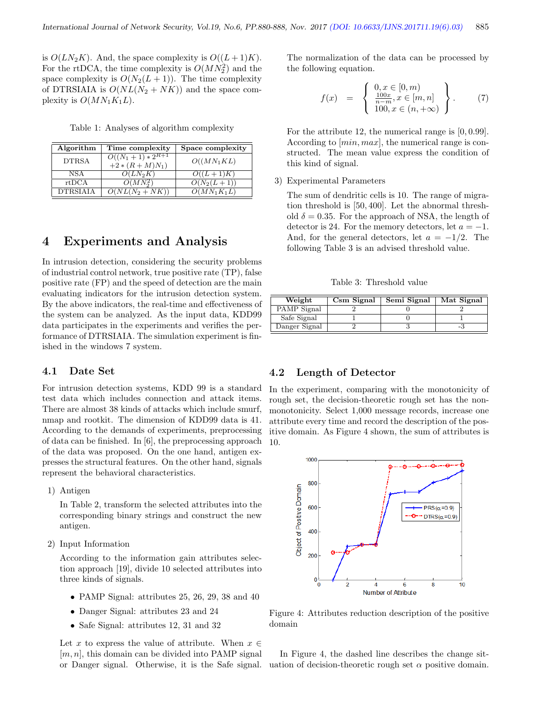is  $O(LN_2K)$ . And, the space complexity is  $O((L+1)K)$ . For the rtDCA, the time complexity is  $O(MN_2^2)$  and the space complexity is  $O(N_2(L+1))$ . The time complexity of DTRSIAIA is  $O(NL(N_2 + NK))$  and the space complexity is  $O(MN_1K_1L)$ .

Table 1: Analyses of algorithm complexity

| Algorithm       | Time complexity                       | Space complexity         |
|-----------------|---------------------------------------|--------------------------|
| <b>DTRSA</b>    | $O((N_1+1)*2^{R+1})$<br>$+2*(R+M)N_1$ | $O((MN_1KL)$             |
| <b>NSA</b>      | $O(LN_2K)$                            | $O((L+1)K)$              |
| rtDCA           | $O(MN_2^2)$                           | $\overline{O(N_2(L+1))}$ |
| <b>DTRSIAIA</b> | $\overline{O(NL(N_2+NK))}$            | $O(MN_1K_1L)$            |

## 4 Experiments and Analysis

In intrusion detection, considering the security problems of industrial control network, true positive rate (TP), false positive rate (FP) and the speed of detection are the main evaluating indicators for the intrusion detection system. By the above indicators, the real-time and effectiveness of the system can be analyzed. As the input data, KDD99 data participates in the experiments and verifies the performance of DTRSIAIA. The simulation experiment is finished in the windows 7 system.

#### 4.1 Date Set

For intrusion detection systems, KDD 99 is a standard test data which includes connection and attack items. There are almost 38 kinds of attacks which include smurf, nmap and rootkit. The dimension of KDD99 data is 41. According to the demands of experiments, preprocessing of data can be finished. In [6], the preprocessing approach of the data was proposed. On the one hand, antigen expresses the structural features. On the other hand, signals represent the behavioral characteristics.

1) Antigen

In Table 2, transform the selected attributes into the corresponding binary strings and construct the new antigen.

2) Input Information

According to the information gain attributes selection approach [19], divide 10 selected attributes into three kinds of signals.

- PAMP Signal: attributes 25, 26, 29, 38 and 40
- Danger Signal: attributes 23 and 24
- Safe Signal: attributes 12, 31 and 32

Let x to express the value of attribute. When  $x \in$  $[m, n]$ , this domain can be divided into PAMP signal or Danger signal. Otherwise, it is the Safe signal. The normalization of the data can be processed by the following equation.

$$
f(x) = \begin{cases} 0, x \in [0, m) \\ \frac{100x}{n-m}, x \in [m, n] \\ 100, x \in (n, +\infty) \end{cases}
$$
 (7)

For the attribute 12, the numerical range is [0, 0.99]. According to [min, max], the numerical range is constructed. The mean value express the condition of this kind of signal.

3) Experimental Parameters

The sum of dendritic cells is 10. The range of migration threshold is [50, 400]. Let the abnormal threshold  $\delta = 0.35$ . For the approach of NSA, the length of detector is 24. For the memory detectors, let  $a = -1$ . And, for the general detectors, let  $a = -1/2$ . The following Table 3 is an advised threshold value.

Table 3: Threshold value

| Weight        | Csm Signal | Semi Signal | Mat Signal |
|---------------|------------|-------------|------------|
| PAMP Signal   |            |             |            |
| Safe Signal   |            |             |            |
| Danger Signal |            |             |            |

#### 4.2 Length of Detector

In the experiment, comparing with the monotonicity of rough set, the decision-theoretic rough set has the nonmonotonicity. Select 1,000 message records, increase one attribute every time and record the description of the positive domain. As Figure 4 shown, the sum of attributes is 10.



Figure 4: Attributes reduction description of the positive domain

In Figure 4, the dashed line describes the change situation of decision-theoretic rough set  $\alpha$  positive domain.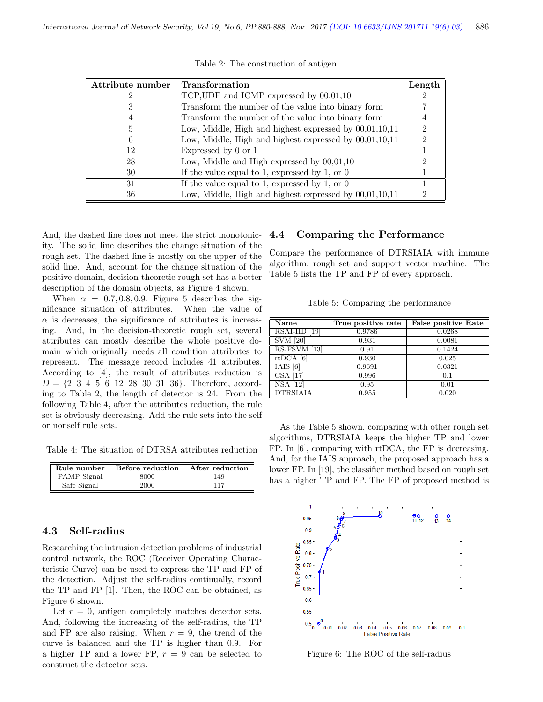| Attribute number | <b>Transformation</b>                                    |   |
|------------------|----------------------------------------------------------|---|
|                  | TCP, UDP and ICMP expressed by $00,01,10$                |   |
| 3                | Transform the number of the value into binary form       |   |
| 4                | Transform the number of the value into binary form       |   |
| 5                | Low, Middle, High and highest expressed by $00,01,10,11$ | 2 |
| 6                | Low, Middle, High and highest expressed by $00,01,10,11$ |   |
| 12               | Expressed by 0 or 1                                      |   |
| 28               | Low, Middle and High expressed by $00,01,10$             |   |
| 30               | If the value equal to 1, expressed by 1, or $0$          |   |
| 31               | If the value equal to 1, expressed by 1, or $0$          |   |
| 36               | Low, Middle, High and highest expressed by $00,01,10,11$ | 2 |

Table 2: The construction of antigen

And, the dashed line does not meet the strict monotonicity. The solid line describes the change situation of the rough set. The dashed line is mostly on the upper of the solid line. And, account for the change situation of the positive domain, decision-theoretic rough set has a better description of the domain objects, as Figure 4 shown.

When  $\alpha = 0.7, 0.8, 0.9$ , Figure 5 describes the significance situation of attributes. When the value of  $\alpha$  is decreases, the significance of attributes is increasing. And, in the decision-theoretic rough set, several attributes can mostly describe the whole positive domain which originally needs all condition attributes to represent. The message record includes 41 attributes. According to [4], the result of attributes reduction is  $D = \{2, 3, 4, 5, 6, 12, 28, 30, 31, 36\}$ . Therefore, according to Table 2, the length of detector is 24. From the following Table 4, after the attributes reduction, the rule set is obviously decreasing. Add the rule sets into the self or nonself rule sets.

Table 4: The situation of DTRSA attributes reduction

| Rule number | Before reduction | After reduction |
|-------------|------------------|-----------------|
| PAMP Signal | 8000             | 149             |
| Safe Signal | 2000             | 117             |

#### 4.3 Self-radius

Researching the intrusion detection problems of industrial control network, the ROC (Receiver Operating Characteristic Curve) can be used to express the TP and FP of the detection. Adjust the self-radius continually, record the TP and FP [1]. Then, the ROC can be obtained, as Figure 6 shown.

Let  $r = 0$ , antigen completely matches detector sets. And, following the increasing of the self-radius, the TP and FP are also raising. When  $r = 9$ , the trend of the curve is balanced and the TP is higher than 0.9. For a higher TP and a lower FP,  $r = 9$  can be selected to construct the detector sets.

#### 4.4 Comparing the Performance

Compare the performance of DTRSIAIA with immune algorithm, rough set and support vector machine. The Table 5 lists the TP and FP of every approach.

Table 5: Comparing the performance

| Name            | True positive rate | <b>False positive Rate</b> |
|-----------------|--------------------|----------------------------|
| RSAI-IID [19]   | 0.9786             | 0.0268                     |
| <b>SVM</b> [20] | 0.931              | 0.0081                     |
| RS-FSVM [13]    | 0.91               | 0.1424                     |
| $rtDCA$ [6]     | 0.930              | 0.025                      |
| IAIS[6]         | 0.9691             | 0.0321                     |
| $CSA$ [17]      | 0.996              | 0.1                        |
| <b>NSA</b> [12] | 0.95               | 0.01                       |
| <b>DTRSIAIA</b> | 0.955              | 0.020                      |

As the Table 5 shown, comparing with other rough set algorithms, DTRSIAIA keeps the higher TP and lower FP. In [6], comparing with rtDCA, the FP is decreasing. And, for the IAIS approach, the proposed approach has a lower FP. In [19], the classifier method based on rough set has a higher TP and FP. The FP of proposed method is



Figure 6: The ROC of the self-radius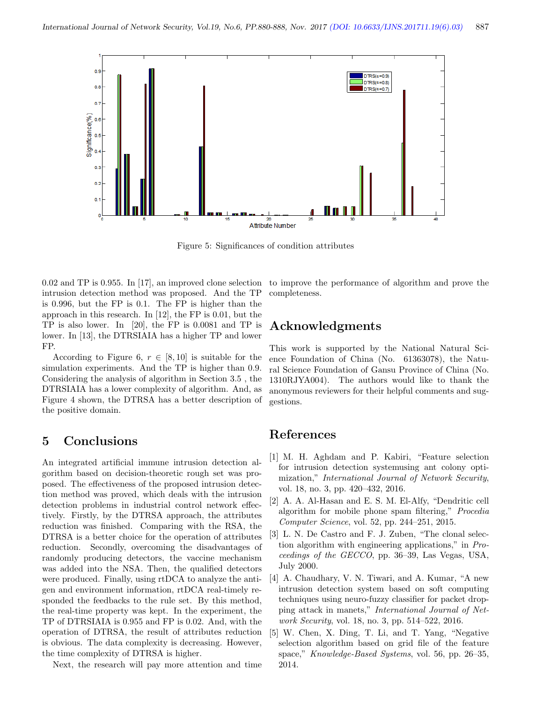

Figure 5: Significances of condition attributes

0.02 and TP is 0.955. In [17], an improved clone selection intrusion detection method was proposed. And the TP is 0.996, but the FP is 0.1. The FP is higher than the approach in this research. In [12], the FP is 0.01, but the TP is also lower. In [20], the FP is 0.0081 and TP is lower. In [13], the DTRSIAIA has a higher TP and lower FP.

According to Figure 6,  $r \in [8, 10]$  is suitable for the simulation experiments. And the TP is higher than 0.9. Considering the analysis of algorithm in Section 3.5 , the DTRSIAIA has a lower complexity of algorithm. And, as Figure 4 shown, the DTRSA has a better description of the positive domain.

## 5 Conclusions

An integrated artificial immune intrusion detection algorithm based on decision-theoretic rough set was proposed. The effectiveness of the proposed intrusion detection method was proved, which deals with the intrusion detection problems in industrial control network effectively. Firstly, by the DTRSA approach, the attributes reduction was finished. Comparing with the RSA, the DTRSA is a better choice for the operation of attributes reduction. Secondly, overcoming the disadvantages of randomly producing detectors, the vaccine mechanism was added into the NSA. Then, the qualified detectors were produced. Finally, using rtDCA to analyze the antigen and environment information, rtDCA real-timely responded the feedbacks to the rule set. By this method, the real-time property was kept. In the experiment, the TP of DTRSIAIA is 0.955 and FP is 0.02. And, with the operation of DTRSA, the result of attributes reduction is obvious. The data complexity is decreasing. However, the time complexity of DTRSA is higher.

Next, the research will pay more attention and time

to improve the performance of algorithm and prove the completeness.

## Acknowledgments

This work is supported by the National Natural Science Foundation of China (No. 61363078), the Natural Science Foundation of Gansu Province of China (No. 1310RJYA004). The authors would like to thank the anonymous reviewers for their helpful comments and suggestions.

## References

- [1] M. H. Aghdam and P. Kabiri, "Feature selection for intrusion detection systemusing ant colony optimization," International Journal of Network Security, vol. 18, no. 3, pp. 420–432, 2016.
- [2] A. A. Al-Hasan and E. S. M. El-Alfy, "Dendritic cell algorithm for mobile phone spam filtering," Procedia Computer Science, vol. 52, pp. 244–251, 2015.
- [3] L. N. De Castro and F. J. Zuben, "The clonal selection algorithm with engineering applications," in Proceedings of the GECCO, pp. 36–39, Las Vegas, USA, July 2000.
- [4] A. Chaudhary, V. N. Tiwari, and A. Kumar, "A new intrusion detection system based on soft computing techniques using neuro-fuzzy classifier for packet dropping attack in manets," International Journal of Network Security, vol. 18, no. 3, pp. 514–522, 2016.
- [5] W. Chen, X. Ding, T. Li, and T. Yang, "Negative selection algorithm based on grid file of the feature space," Knowledge-Based Systems, vol. 56, pp. 26–35, 2014.